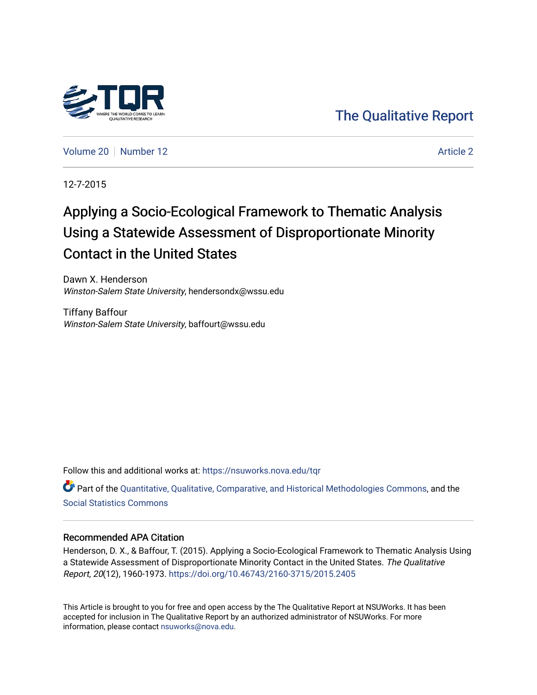

[The Qualitative Report](https://nsuworks.nova.edu/tqr) 

[Volume 20](https://nsuworks.nova.edu/tqr/vol20) [Number 12](https://nsuworks.nova.edu/tqr/vol20/iss12) [Article 2](https://nsuworks.nova.edu/tqr/vol20/iss12/2) Article 2

12-7-2015

# Applying a Socio-Ecological Framework to Thematic Analysis Using a Statewide Assessment of Disproportionate Minority Contact in the United States

Dawn X. Henderson Winston-Salem State University, hendersondx@wssu.edu

Tiffany Baffour Winston-Salem State University, baffourt@wssu.edu

Follow this and additional works at: [https://nsuworks.nova.edu/tqr](https://nsuworks.nova.edu/tqr?utm_source=nsuworks.nova.edu%2Ftqr%2Fvol20%2Fiss12%2F2&utm_medium=PDF&utm_campaign=PDFCoverPages) 

Part of the [Quantitative, Qualitative, Comparative, and Historical Methodologies Commons,](http://network.bepress.com/hgg/discipline/423?utm_source=nsuworks.nova.edu%2Ftqr%2Fvol20%2Fiss12%2F2&utm_medium=PDF&utm_campaign=PDFCoverPages) and the [Social Statistics Commons](http://network.bepress.com/hgg/discipline/1275?utm_source=nsuworks.nova.edu%2Ftqr%2Fvol20%2Fiss12%2F2&utm_medium=PDF&utm_campaign=PDFCoverPages) 

### Recommended APA Citation

Henderson, D. X., & Baffour, T. (2015). Applying a Socio-Ecological Framework to Thematic Analysis Using a Statewide Assessment of Disproportionate Minority Contact in the United States. The Qualitative Report, 20(12), 1960-1973. <https://doi.org/10.46743/2160-3715/2015.2405>

This Article is brought to you for free and open access by the The Qualitative Report at NSUWorks. It has been accepted for inclusion in The Qualitative Report by an authorized administrator of NSUWorks. For more information, please contact [nsuworks@nova.edu.](mailto:nsuworks@nova.edu)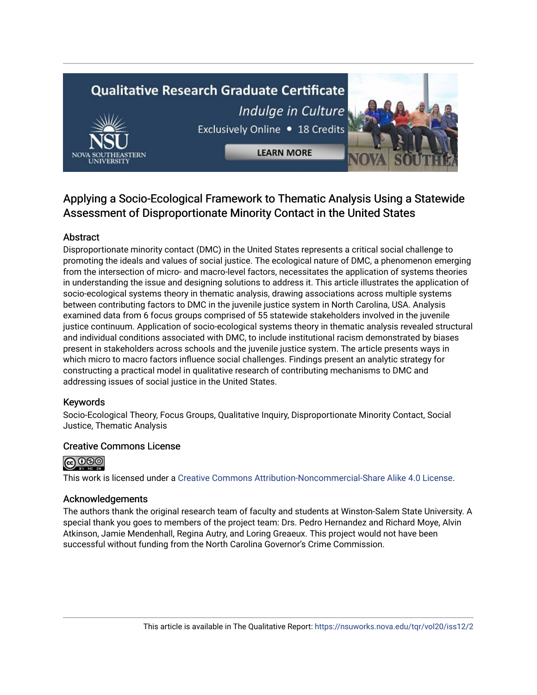# **Qualitative Research Graduate Certificate** Indulge in Culture



**LEARN MORE** 



# Applying a Socio-Ecological Framework to Thematic Analysis Using a Statewide Assessment of Disproportionate Minority Contact in the United States

# Abstract

Disproportionate minority contact (DMC) in the United States represents a critical social challenge to promoting the ideals and values of social justice. The ecological nature of DMC, a phenomenon emerging from the intersection of micro- and macro-level factors, necessitates the application of systems theories in understanding the issue and designing solutions to address it. This article illustrates the application of socio-ecological systems theory in thematic analysis, drawing associations across multiple systems between contributing factors to DMC in the juvenile justice system in North Carolina, USA. Analysis examined data from 6 focus groups comprised of 55 statewide stakeholders involved in the juvenile justice continuum. Application of socio-ecological systems theory in thematic analysis revealed structural and individual conditions associated with DMC, to include institutional racism demonstrated by biases present in stakeholders across schools and the juvenile justice system. The article presents ways in which micro to macro factors influence social challenges. Findings present an analytic strategy for constructing a practical model in qualitative research of contributing mechanisms to DMC and addressing issues of social justice in the United States.

## Keywords

Socio-Ecological Theory, Focus Groups, Qualitative Inquiry, Disproportionate Minority Contact, Social Justice, Thematic Analysis

## Creative Commons License



This work is licensed under a [Creative Commons Attribution-Noncommercial-Share Alike 4.0 License](https://creativecommons.org/licenses/by-nc-sa/4.0/).

## Acknowledgements

The authors thank the original research team of faculty and students at Winston-Salem State University. A special thank you goes to members of the project team: Drs. Pedro Hernandez and Richard Moye, Alvin Atkinson, Jamie Mendenhall, Regina Autry, and Loring Greaeux. This project would not have been successful without funding from the North Carolina Governor's Crime Commission.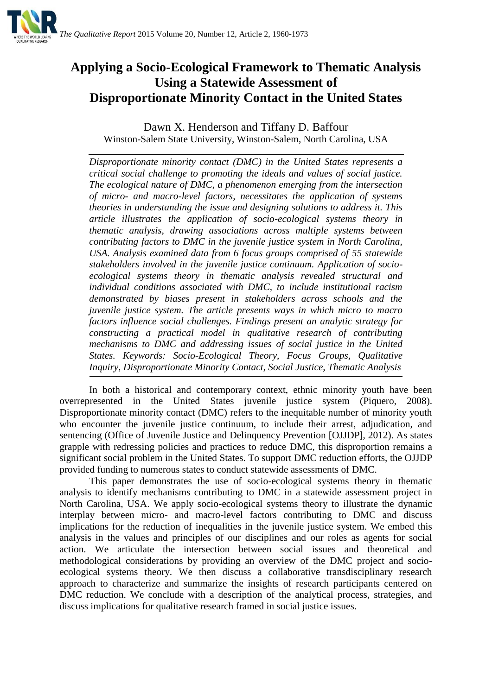

# **Applying a Socio-Ecological Framework to Thematic Analysis Using a Statewide Assessment of Disproportionate Minority Contact in the United States**

Dawn X. Henderson and Tiffany D. Baffour Winston-Salem State University, Winston-Salem, North Carolina, USA

*Disproportionate minority contact (DMC) in the United States represents a critical social challenge to promoting the ideals and values of social justice. The ecological nature of DMC, a phenomenon emerging from the intersection of micro- and macro-level factors, necessitates the application of systems theories in understanding the issue and designing solutions to address it. This article illustrates the application of socio-ecological systems theory in thematic analysis, drawing associations across multiple systems between contributing factors to DMC in the juvenile justice system in North Carolina, USA. Analysis examined data from 6 focus groups comprised of 55 statewide stakeholders involved in the juvenile justice continuum. Application of socioecological systems theory in thematic analysis revealed structural and individual conditions associated with DMC, to include institutional racism demonstrated by biases present in stakeholders across schools and the juvenile justice system. The article presents ways in which micro to macro factors influence social challenges. Findings present an analytic strategy for constructing a practical model in qualitative research of contributing mechanisms to DMC and addressing issues of social justice in the United States. Keywords: Socio-Ecological Theory, Focus Groups, Qualitative Inquiry, Disproportionate Minority Contact, Social Justice, Thematic Analysis*

In both a historical and contemporary context, ethnic minority youth have been overrepresented in the United States juvenile justice system (Piquero, 2008). Disproportionate minority contact (DMC) refers to the inequitable number of minority youth who encounter the juvenile justice continuum, to include their arrest, adjudication, and sentencing (Office of Juvenile Justice and Delinquency Prevention [OJJDP], 2012). As states grapple with redressing policies and practices to reduce DMC, this disproportion remains a significant social problem in the United States. To support DMC reduction efforts, the OJJDP provided funding to numerous states to conduct statewide assessments of DMC.

This paper demonstrates the use of socio-ecological systems theory in thematic analysis to identify mechanisms contributing to DMC in a statewide assessment project in North Carolina, USA. We apply socio-ecological systems theory to illustrate the dynamic interplay between micro- and macro-level factors contributing to DMC and discuss implications for the reduction of inequalities in the juvenile justice system. We embed this analysis in the values and principles of our disciplines and our roles as agents for social action. We articulate the intersection between social issues and theoretical and methodological considerations by providing an overview of the DMC project and socioecological systems theory. We then discuss a collaborative transdisciplinary research approach to characterize and summarize the insights of research participants centered on DMC reduction. We conclude with a description of the analytical process, strategies, and discuss implications for qualitative research framed in social justice issues.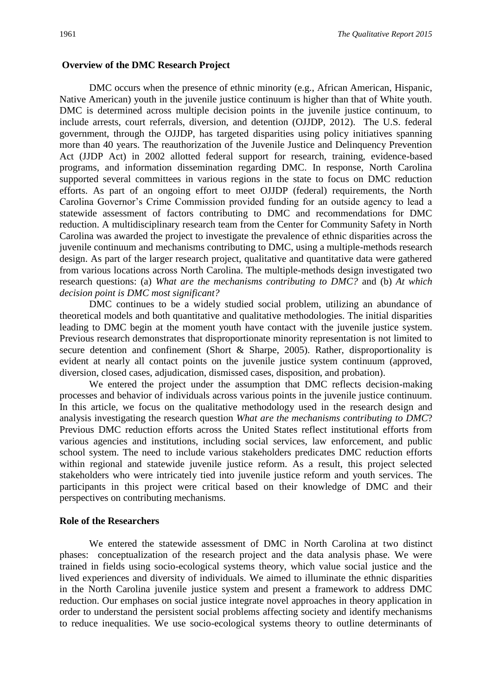#### **Overview of the DMC Research Project**

DMC occurs when the presence of ethnic minority (e.g., African American, Hispanic, Native American) youth in the juvenile justice continuum is higher than that of White youth. DMC is determined across multiple decision points in the juvenile justice continuum, to include arrests, court referrals, diversion, and detention (OJJDP, 2012). The U.S. federal government, through the OJJDP, has targeted disparities using policy initiatives spanning more than 40 years. The reauthorization of the Juvenile Justice and Delinquency Prevention Act (JJDP Act) in 2002 allotted federal support for research, training, evidence-based programs, and information dissemination regarding DMC. In response, North Carolina supported several committees in various regions in the state to focus on DMC reduction efforts. As part of an ongoing effort to meet OJJDP (federal) requirements, the North Carolina Governor's Crime Commission provided funding for an outside agency to lead a statewide assessment of factors contributing to DMC and recommendations for DMC reduction. A multidisciplinary research team from the Center for Community Safety in North Carolina was awarded the project to investigate the prevalence of ethnic disparities across the juvenile continuum and mechanisms contributing to DMC, using a multiple-methods research design. As part of the larger research project, qualitative and quantitative data were gathered from various locations across North Carolina. The multiple-methods design investigated two research questions: (a) *What are the mechanisms contributing to DMC?* and (b) *At which decision point is DMC most significant?* 

DMC continues to be a widely studied social problem, utilizing an abundance of theoretical models and both quantitative and qualitative methodologies. The initial disparities leading to DMC begin at the moment youth have contact with the juvenile justice system. Previous research demonstrates that disproportionate minority representation is not limited to secure detention and confinement (Short & Sharpe, 2005). Rather, disproportionality is evident at nearly all contact points on the juvenile justice system continuum (approved, diversion, closed cases, adjudication, dismissed cases, disposition, and probation).

We entered the project under the assumption that DMC reflects decision-making processes and behavior of individuals across various points in the juvenile justice continuum. In this article, we focus on the qualitative methodology used in the research design and analysis investigating the research question *What are the mechanisms contributing to DMC*? Previous DMC reduction efforts across the United States reflect institutional efforts from various agencies and institutions, including social services, law enforcement, and public school system. The need to include various stakeholders predicates DMC reduction efforts within regional and statewide juvenile justice reform. As a result, this project selected stakeholders who were intricately tied into juvenile justice reform and youth services. The participants in this project were critical based on their knowledge of DMC and their perspectives on contributing mechanisms.

#### **Role of the Researchers**

We entered the statewide assessment of DMC in North Carolina at two distinct phases: conceptualization of the research project and the data analysis phase. We were trained in fields using socio-ecological systems theory, which value social justice and the lived experiences and diversity of individuals. We aimed to illuminate the ethnic disparities in the North Carolina juvenile justice system and present a framework to address DMC reduction. Our emphases on social justice integrate novel approaches in theory application in order to understand the persistent social problems affecting society and identify mechanisms to reduce inequalities. We use socio-ecological systems theory to outline determinants of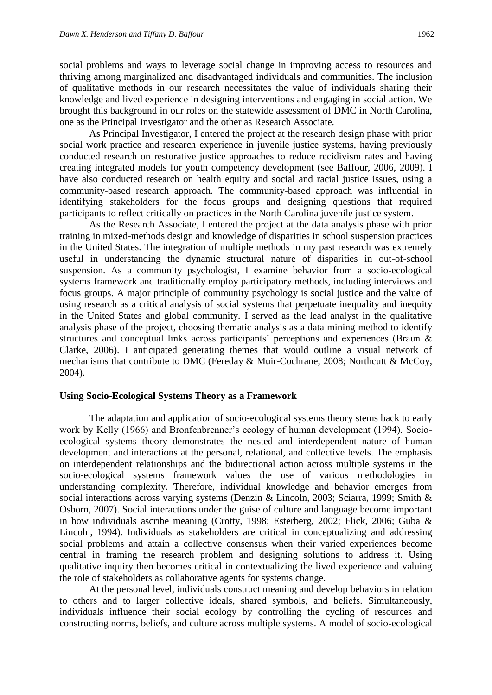social problems and ways to leverage social change in improving access to resources and thriving among marginalized and disadvantaged individuals and communities. The inclusion of qualitative methods in our research necessitates the value of individuals sharing their knowledge and lived experience in designing interventions and engaging in social action. We brought this background in our roles on the statewide assessment of DMC in North Carolina, one as the Principal Investigator and the other as Research Associate.

As Principal Investigator, I entered the project at the research design phase with prior social work practice and research experience in juvenile justice systems, having previously conducted research on restorative justice approaches to reduce recidivism rates and having creating integrated models for youth competency development (see Baffour, 2006, 2009). I have also conducted research on health equity and social and racial justice issues, using a community-based research approach. The community-based approach was influential in identifying stakeholders for the focus groups and designing questions that required participants to reflect critically on practices in the North Carolina juvenile justice system.

As the Research Associate, I entered the project at the data analysis phase with prior training in mixed-methods design and knowledge of disparities in school suspension practices in the United States. The integration of multiple methods in my past research was extremely useful in understanding the dynamic structural nature of disparities in out-of-school suspension. As a community psychologist, I examine behavior from a socio-ecological systems framework and traditionally employ participatory methods, including interviews and focus groups. A major principle of community psychology is social justice and the value of using research as a critical analysis of social systems that perpetuate inequality and inequity in the United States and global community. I served as the lead analyst in the qualitative analysis phase of the project, choosing thematic analysis as a data mining method to identify structures and conceptual links across participants' perceptions and experiences (Braun & Clarke, 2006). I anticipated generating themes that would outline a visual network of mechanisms that contribute to DMC (Fereday & Muir-Cochrane, 2008; Northcutt & McCoy, 2004).

#### **Using Socio-Ecological Systems Theory as a Framework**

The adaptation and application of socio-ecological systems theory stems back to early work by Kelly (1966) and Bronfenbrenner's ecology of human development (1994). Socioecological systems theory demonstrates the nested and interdependent nature of human development and interactions at the personal, relational, and collective levels. The emphasis on interdependent relationships and the bidirectional action across multiple systems in the socio-ecological systems framework values the use of various methodologies in understanding complexity. Therefore, individual knowledge and behavior emerges from social interactions across varying systems (Denzin & Lincoln, 2003; Sciarra, 1999; Smith & Osborn, 2007). Social interactions under the guise of culture and language become important in how individuals ascribe meaning (Crotty, 1998; Esterberg, 2002; Flick, 2006; Guba & Lincoln, 1994). Individuals as stakeholders are critical in conceptualizing and addressing social problems and attain a collective consensus when their varied experiences become central in framing the research problem and designing solutions to address it. Using qualitative inquiry then becomes critical in contextualizing the lived experience and valuing the role of stakeholders as collaborative agents for systems change.

At the personal level, individuals construct meaning and develop behaviors in relation to others and to larger collective ideals, shared symbols, and beliefs. Simultaneously, individuals influence their social ecology by controlling the cycling of resources and constructing norms, beliefs, and culture across multiple systems. A model of socio-ecological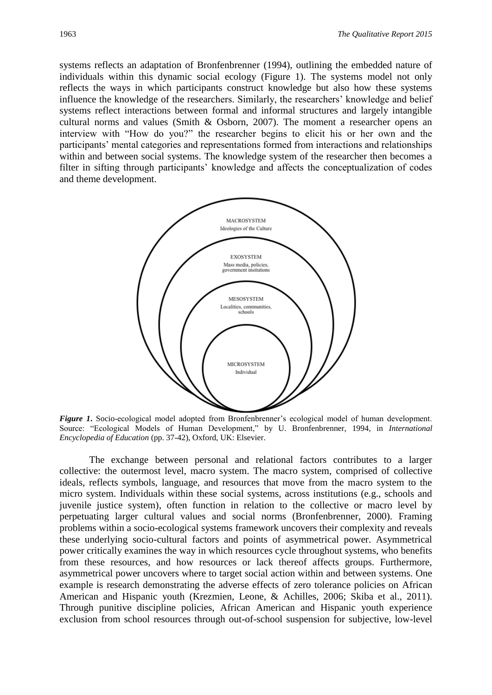systems reflects an adaptation of Bronfenbrenner (1994), outlining the embedded nature of individuals within this dynamic social ecology (Figure 1). The systems model not only reflects the ways in which participants construct knowledge but also how these systems influence the knowledge of the researchers. Similarly, the researchers' knowledge and belief systems reflect interactions between formal and informal structures and largely intangible cultural norms and values (Smith & Osborn, 2007). The moment a researcher opens an interview with "How do you?" the researcher begins to elicit his or her own and the participants' mental categories and representations formed from interactions and relationships within and between social systems. The knowledge system of the researcher then becomes a filter in sifting through participants' knowledge and affects the conceptualization of codes and theme development.



*Figure 1***.** Socio-ecological model adopted from Bronfenbrenner's ecological model of human development. Source: "Ecological Models of Human Development," by U. Bronfenbrenner, 1994, in *International Encyclopedia of Education* (pp. 37-42), Oxford, UK: Elsevier.

The exchange between personal and relational factors contributes to a larger collective: the outermost level, macro system. The macro system, comprised of collective ideals, reflects symbols, language, and resources that move from the macro system to the micro system. Individuals within these social systems, across institutions (e.g., schools and juvenile justice system), often function in relation to the collective or macro level by perpetuating larger cultural values and social norms (Bronfenbrenner, 2000). Framing problems within a socio-ecological systems framework uncovers their complexity and reveals these underlying socio-cultural factors and points of asymmetrical power. Asymmetrical power critically examines the way in which resources cycle throughout systems, who benefits from these resources, and how resources or lack thereof affects groups. Furthermore, asymmetrical power uncovers where to target social action within and between systems. One example is research demonstrating the adverse effects of zero tolerance policies on African American and Hispanic youth (Krezmien, Leone, & Achilles, 2006; Skiba et al., 2011). Through punitive discipline policies, African American and Hispanic youth experience exclusion from school resources through out-of-school suspension for subjective, low-level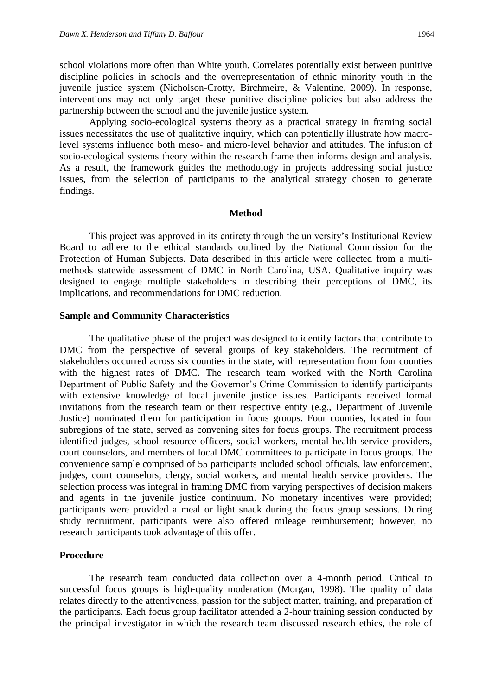school violations more often than White youth. Correlates potentially exist between punitive discipline policies in schools and the overrepresentation of ethnic minority youth in the juvenile justice system (Nicholson-Crotty, Birchmeire, & Valentine, 2009). In response, interventions may not only target these punitive discipline policies but also address the partnership between the school and the juvenile justice system.

Applying socio-ecological systems theory as a practical strategy in framing social issues necessitates the use of qualitative inquiry, which can potentially illustrate how macrolevel systems influence both meso- and micro-level behavior and attitudes. The infusion of socio-ecological systems theory within the research frame then informs design and analysis. As a result, the framework guides the methodology in projects addressing social justice issues, from the selection of participants to the analytical strategy chosen to generate findings.

#### **Method**

This project was approved in its entirety through the university's Institutional Review Board to adhere to the ethical standards outlined by the National Commission for the Protection of Human Subjects. Data described in this article were collected from a multimethods statewide assessment of DMC in North Carolina, USA. Qualitative inquiry was designed to engage multiple stakeholders in describing their perceptions of DMC, its implications, and recommendations for DMC reduction.

#### **Sample and Community Characteristics**

The qualitative phase of the project was designed to identify factors that contribute to DMC from the perspective of several groups of key stakeholders. The recruitment of stakeholders occurred across six counties in the state, with representation from four counties with the highest rates of DMC. The research team worked with the North Carolina Department of Public Safety and the Governor's Crime Commission to identify participants with extensive knowledge of local juvenile justice issues. Participants received formal invitations from the research team or their respective entity (e.g., Department of Juvenile Justice) nominated them for participation in focus groups. Four counties, located in four subregions of the state, served as convening sites for focus groups. The recruitment process identified judges, school resource officers, social workers, mental health service providers, court counselors, and members of local DMC committees to participate in focus groups. The convenience sample comprised of 55 participants included school officials, law enforcement, judges, court counselors, clergy, social workers, and mental health service providers. The selection process was integral in framing DMC from varying perspectives of decision makers and agents in the juvenile justice continuum. No monetary incentives were provided; participants were provided a meal or light snack during the focus group sessions. During study recruitment, participants were also offered mileage reimbursement; however, no research participants took advantage of this offer.

#### **Procedure**

The research team conducted data collection over a 4-month period. Critical to successful focus groups is high-quality moderation (Morgan, 1998). The quality of data relates directly to the attentiveness, passion for the subject matter, training, and preparation of the participants. Each focus group facilitator attended a 2-hour training session conducted by the principal investigator in which the research team discussed research ethics, the role of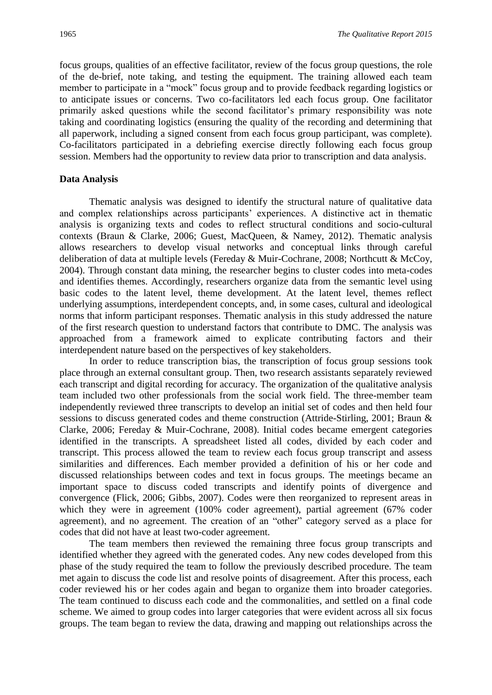focus groups, qualities of an effective facilitator, review of the focus group questions, the role of the de-brief, note taking, and testing the equipment. The training allowed each team member to participate in a "mock" focus group and to provide feedback regarding logistics or to anticipate issues or concerns. Two co-facilitators led each focus group. One facilitator primarily asked questions while the second facilitator's primary responsibility was note taking and coordinating logistics (ensuring the quality of the recording and determining that all paperwork, including a signed consent from each focus group participant, was complete). Co-facilitators participated in a debriefing exercise directly following each focus group session. Members had the opportunity to review data prior to transcription and data analysis.

#### **Data Analysis**

Thematic analysis was designed to identify the structural nature of qualitative data and complex relationships across participants' experiences. A distinctive act in thematic analysis is organizing texts and codes to reflect structural conditions and socio-cultural contexts (Braun & Clarke, 2006; Guest, MacQueen, & Namey, 2012). Thematic analysis allows researchers to develop visual networks and conceptual links through careful deliberation of data at multiple levels (Fereday & Muir-Cochrane, 2008; Northcutt & McCoy, 2004). Through constant data mining, the researcher begins to cluster codes into meta-codes and identifies themes. Accordingly, researchers organize data from the semantic level using basic codes to the latent level, theme development. At the latent level, themes reflect underlying assumptions, interdependent concepts, and, in some cases, cultural and ideological norms that inform participant responses. Thematic analysis in this study addressed the nature of the first research question to understand factors that contribute to DMC. The analysis was approached from a framework aimed to explicate contributing factors and their interdependent nature based on the perspectives of key stakeholders.

In order to reduce transcription bias, the transcription of focus group sessions took place through an external consultant group. Then, two research assistants separately reviewed each transcript and digital recording for accuracy. The organization of the qualitative analysis team included two other professionals from the social work field. The three-member team independently reviewed three transcripts to develop an initial set of codes and then held four sessions to discuss generated codes and theme construction (Attride-Stirling, 2001; Braun & Clarke, 2006; Fereday & Muir-Cochrane, 2008). Initial codes became emergent categories identified in the transcripts. A spreadsheet listed all codes, divided by each coder and transcript. This process allowed the team to review each focus group transcript and assess similarities and differences. Each member provided a definition of his or her code and discussed relationships between codes and text in focus groups. The meetings became an important space to discuss coded transcripts and identify points of divergence and convergence (Flick, 2006; Gibbs, 2007). Codes were then reorganized to represent areas in which they were in agreement (100% coder agreement), partial agreement (67% coder agreement), and no agreement. The creation of an "other" category served as a place for codes that did not have at least two-coder agreement.

The team members then reviewed the remaining three focus group transcripts and identified whether they agreed with the generated codes. Any new codes developed from this phase of the study required the team to follow the previously described procedure. The team met again to discuss the code list and resolve points of disagreement. After this process, each coder reviewed his or her codes again and began to organize them into broader categories. The team continued to discuss each code and the commonalities, and settled on a final code scheme. We aimed to group codes into larger categories that were evident across all six focus groups. The team began to review the data, drawing and mapping out relationships across the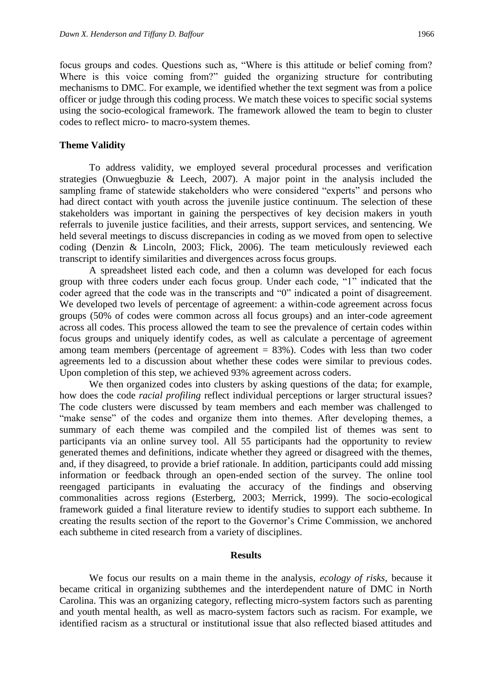focus groups and codes. Questions such as, "Where is this attitude or belief coming from? Where is this voice coming from?" guided the organizing structure for contributing mechanisms to DMC. For example, we identified whether the text segment was from a police officer or judge through this coding process. We match these voices to specific social systems using the socio-ecological framework. The framework allowed the team to begin to cluster codes to reflect micro- to macro-system themes.

#### **Theme Validity**

To address validity, we employed several procedural processes and verification strategies (Onwuegbuzie & Leech, 2007). A major point in the analysis included the sampling frame of statewide stakeholders who were considered "experts" and persons who had direct contact with youth across the juvenile justice continuum. The selection of these stakeholders was important in gaining the perspectives of key decision makers in youth referrals to juvenile justice facilities, and their arrests, support services, and sentencing. We held several meetings to discuss discrepancies in coding as we moved from open to selective coding (Denzin & Lincoln, 2003; Flick, 2006). The team meticulously reviewed each transcript to identify similarities and divergences across focus groups.

A spreadsheet listed each code, and then a column was developed for each focus group with three coders under each focus group. Under each code, "1" indicated that the coder agreed that the code was in the transcripts and "0" indicated a point of disagreement. We developed two levels of percentage of agreement: a within-code agreement across focus groups (50% of codes were common across all focus groups) and an inter-code agreement across all codes. This process allowed the team to see the prevalence of certain codes within focus groups and uniquely identify codes, as well as calculate a percentage of agreement among team members (percentage of agreement  $= 83\%$ ). Codes with less than two coder agreements led to a discussion about whether these codes were similar to previous codes. Upon completion of this step, we achieved 93% agreement across coders.

We then organized codes into clusters by asking questions of the data; for example, how does the code *racial profiling* reflect individual perceptions or larger structural issues? The code clusters were discussed by team members and each member was challenged to "make sense" of the codes and organize them into themes. After developing themes, a summary of each theme was compiled and the compiled list of themes was sent to participants via an online survey tool. All 55 participants had the opportunity to review generated themes and definitions, indicate whether they agreed or disagreed with the themes, and, if they disagreed, to provide a brief rationale. In addition, participants could add missing information or feedback through an open-ended section of the survey. The online tool reengaged participants in evaluating the accuracy of the findings and observing commonalities across regions (Esterberg, 2003; Merrick, 1999). The socio-ecological framework guided a final literature review to identify studies to support each subtheme. In creating the results section of the report to the Governor's Crime Commission, we anchored each subtheme in cited research from a variety of disciplines.

#### **Results**

We focus our results on a main theme in the analysis, *ecology of risks,* because it became critical in organizing subthemes and the interdependent nature of DMC in North Carolina. This was an organizing category, reflecting micro-system factors such as parenting and youth mental health, as well as macro-system factors such as racism. For example, we identified racism as a structural or institutional issue that also reflected biased attitudes and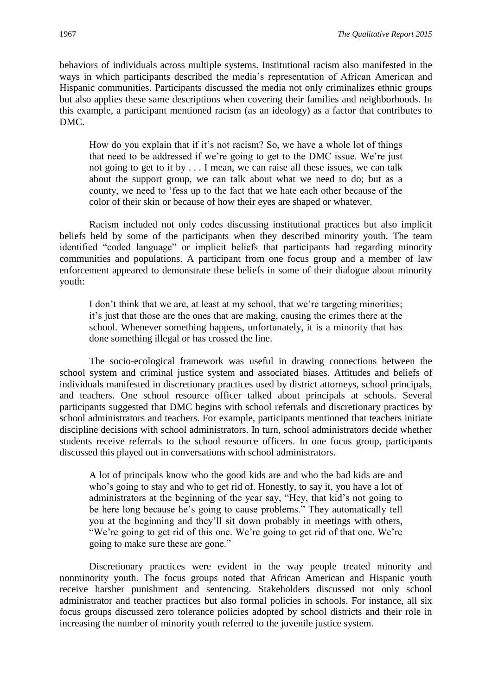behaviors of individuals across multiple systems. Institutional racism also manifested in the ways in which participants described the media's representation of African American and Hispanic communities. Participants discussed the media not only criminalizes ethnic groups but also applies these same descriptions when covering their families and neighborhoods. In this example, a participant mentioned racism (as an ideology) as a factor that contributes to DMC.

How do you explain that if it's not racism? So, we have a whole lot of things that need to be addressed if we're going to get to the DMC issue. We're just not going to get to it by . . . I mean, we can raise all these issues, we can talk about the support group, we can talk about what we need to do; but as a county, we need to 'fess up to the fact that we hate each other because of the color of their skin or because of how their eyes are shaped or whatever.

Racism included not only codes discussing institutional practices but also implicit beliefs held by some of the participants when they described minority youth. The team identified "coded language" or implicit beliefs that participants had regarding minority communities and populations. A participant from one focus group and a member of law enforcement appeared to demonstrate these beliefs in some of their dialogue about minority youth:

I don't think that we are, at least at my school, that we're targeting minorities; it's just that those are the ones that are making, causing the crimes there at the school. Whenever something happens, unfortunately, it is a minority that has done something illegal or has crossed the line.

The socio-ecological framework was useful in drawing connections between the school system and criminal justice system and associated biases. Attitudes and beliefs of individuals manifested in discretionary practices used by district attorneys, school principals, and teachers. One school resource officer talked about principals at schools. Several participants suggested that DMC begins with school referrals and discretionary practices by school administrators and teachers. For example, participants mentioned that teachers initiate discipline decisions with school administrators. In turn, school administrators decide whether students receive referrals to the school resource officers. In one focus group, participants discussed this played out in conversations with school administrators.

A lot of principals know who the good kids are and who the bad kids are and who's going to stay and who to get rid of. Honestly, to say it, you have a lot of administrators at the beginning of the year say, "Hey, that kid's not going to be here long because he's going to cause problems." They automatically tell you at the beginning and they'll sit down probably in meetings with others, "We're going to get rid of this one. We're going to get rid of that one. We're going to make sure these are gone."

Discretionary practices were evident in the way people treated minority and nonminority youth. The focus groups noted that African American and Hispanic youth receive harsher punishment and sentencing. Stakeholders discussed not only school administrator and teacher practices but also formal policies in schools. For instance, all six focus groups discussed zero tolerance policies adopted by school districts and their role in increasing the number of minority youth referred to the juvenile justice system.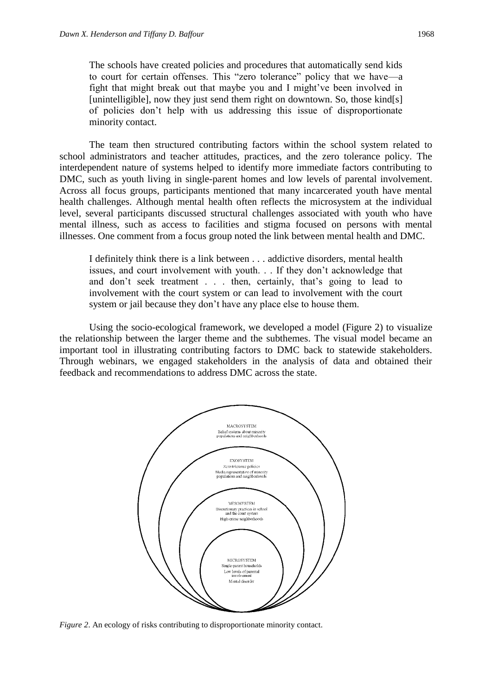The schools have created policies and procedures that automatically send kids to court for certain offenses. This "zero tolerance" policy that we have—a fight that might break out that maybe you and I might've been involved in [unintelligible], now they just send them right on downtown. So, those kind[s] of policies don't help with us addressing this issue of disproportionate minority contact.

The team then structured contributing factors within the school system related to school administrators and teacher attitudes, practices, and the zero tolerance policy. The interdependent nature of systems helped to identify more immediate factors contributing to DMC, such as youth living in single-parent homes and low levels of parental involvement. Across all focus groups, participants mentioned that many incarcerated youth have mental health challenges. Although mental health often reflects the microsystem at the individual level, several participants discussed structural challenges associated with youth who have mental illness, such as access to facilities and stigma focused on persons with mental illnesses. One comment from a focus group noted the link between mental health and DMC.

I definitely think there is a link between . . . addictive disorders, mental health issues, and court involvement with youth. . . If they don't acknowledge that and don't seek treatment . . . then, certainly, that's going to lead to involvement with the court system or can lead to involvement with the court system or jail because they don't have any place else to house them.

Using the socio-ecological framework, we developed a model (Figure 2) to visualize the relationship between the larger theme and the subthemes. The visual model became an important tool in illustrating contributing factors to DMC back to statewide stakeholders. Through webinars, we engaged stakeholders in the analysis of data and obtained their feedback and recommendations to address DMC across the state.



*Figure 2*. An ecology of risks contributing to disproportionate minority contact.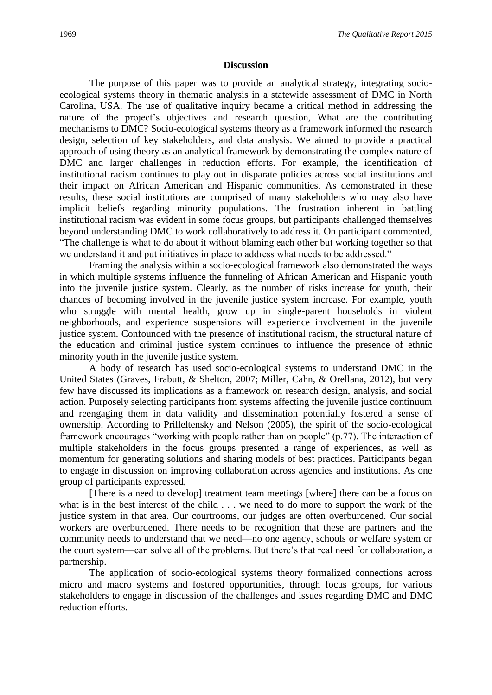#### **Discussion**

The purpose of this paper was to provide an analytical strategy, integrating socioecological systems theory in thematic analysis in a statewide assessment of DMC in North Carolina, USA. The use of qualitative inquiry became a critical method in addressing the nature of the project's objectives and research question, What are the contributing mechanisms to DMC? Socio-ecological systems theory as a framework informed the research design, selection of key stakeholders, and data analysis. We aimed to provide a practical approach of using theory as an analytical framework by demonstrating the complex nature of DMC and larger challenges in reduction efforts. For example, the identification of institutional racism continues to play out in disparate policies across social institutions and their impact on African American and Hispanic communities. As demonstrated in these results, these social institutions are comprised of many stakeholders who may also have implicit beliefs regarding minority populations. The frustration inherent in battling institutional racism was evident in some focus groups, but participants challenged themselves beyond understanding DMC to work collaboratively to address it. On participant commented, "The challenge is what to do about it without blaming each other but working together so that we understand it and put initiatives in place to address what needs to be addressed."

Framing the analysis within a socio-ecological framework also demonstrated the ways in which multiple systems influence the funneling of African American and Hispanic youth into the juvenile justice system. Clearly, as the number of risks increase for youth, their chances of becoming involved in the juvenile justice system increase. For example, youth who struggle with mental health, grow up in single-parent households in violent neighborhoods, and experience suspensions will experience involvement in the juvenile justice system. Confounded with the presence of institutional racism, the structural nature of the education and criminal justice system continues to influence the presence of ethnic minority youth in the juvenile justice system.

A body of research has used socio-ecological systems to understand DMC in the United States (Graves, Frabutt, & Shelton, 2007; Miller, Cahn, & Orellana, 2012), but very few have discussed its implications as a framework on research design, analysis, and social action. Purposely selecting participants from systems affecting the juvenile justice continuum and reengaging them in data validity and dissemination potentially fostered a sense of ownership. According to Prilleltensky and Nelson (2005), the spirit of the socio-ecological framework encourages "working with people rather than on people" (p.77). The interaction of multiple stakeholders in the focus groups presented a range of experiences, as well as momentum for generating solutions and sharing models of best practices. Participants began to engage in discussion on improving collaboration across agencies and institutions. As one group of participants expressed,

[There is a need to develop] treatment team meetings [where] there can be a focus on what is in the best interest of the child . . . we need to do more to support the work of the justice system in that area. Our courtrooms, our judges are often overburdened. Our social workers are overburdened. There needs to be recognition that these are partners and the community needs to understand that we need—no one agency, schools or welfare system or the court system—can solve all of the problems. But there's that real need for collaboration, a partnership.

The application of socio-ecological systems theory formalized connections across micro and macro systems and fostered opportunities, through focus groups, for various stakeholders to engage in discussion of the challenges and issues regarding DMC and DMC reduction efforts.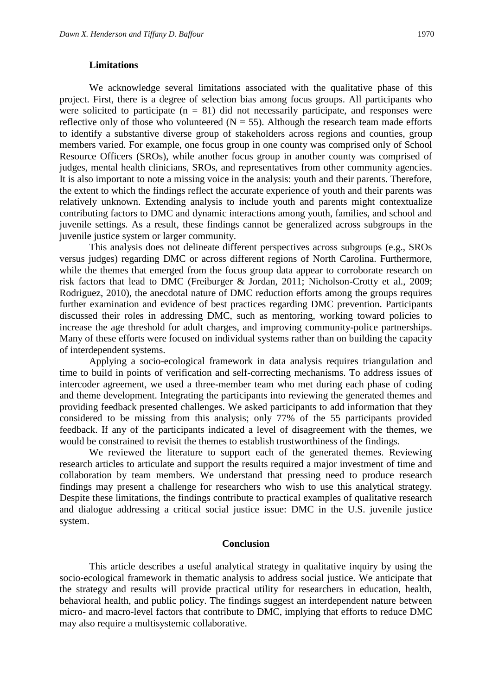#### **Limitations**

We acknowledge several limitations associated with the qualitative phase of this project. First, there is a degree of selection bias among focus groups. All participants who were solicited to participate  $(n = 81)$  did not necessarily participate, and responses were reflective only of those who volunteered  $(N = 55)$ . Although the research team made efforts to identify a substantive diverse group of stakeholders across regions and counties, group members varied. For example, one focus group in one county was comprised only of School Resource Officers (SROs), while another focus group in another county was comprised of judges, mental health clinicians, SROs, and representatives from other community agencies. It is also important to note a missing voice in the analysis: youth and their parents. Therefore, the extent to which the findings reflect the accurate experience of youth and their parents was relatively unknown. Extending analysis to include youth and parents might contextualize contributing factors to DMC and dynamic interactions among youth, families, and school and juvenile settings. As a result, these findings cannot be generalized across subgroups in the juvenile justice system or larger community.

This analysis does not delineate different perspectives across subgroups (e.g., SROs versus judges) regarding DMC or across different regions of North Carolina. Furthermore, while the themes that emerged from the focus group data appear to corroborate research on risk factors that lead to DMC (Freiburger & Jordan, 2011; Nicholson-Crotty et al., 2009; Rodriguez, 2010), the anecdotal nature of DMC reduction efforts among the groups requires further examination and evidence of best practices regarding DMC prevention. Participants discussed their roles in addressing DMC, such as mentoring, working toward policies to increase the age threshold for adult charges, and improving community-police partnerships. Many of these efforts were focused on individual systems rather than on building the capacity of interdependent systems.

Applying a socio-ecological framework in data analysis requires triangulation and time to build in points of verification and self-correcting mechanisms. To address issues of intercoder agreement, we used a three-member team who met during each phase of coding and theme development. Integrating the participants into reviewing the generated themes and providing feedback presented challenges. We asked participants to add information that they considered to be missing from this analysis; only 77% of the 55 participants provided feedback. If any of the participants indicated a level of disagreement with the themes, we would be constrained to revisit the themes to establish trustworthiness of the findings.

We reviewed the literature to support each of the generated themes. Reviewing research articles to articulate and support the results required a major investment of time and collaboration by team members. We understand that pressing need to produce research findings may present a challenge for researchers who wish to use this analytical strategy. Despite these limitations, the findings contribute to practical examples of qualitative research and dialogue addressing a critical social justice issue: DMC in the U.S. juvenile justice system.

#### **Conclusion**

This article describes a useful analytical strategy in qualitative inquiry by using the socio-ecological framework in thematic analysis to address social justice. We anticipate that the strategy and results will provide practical utility for researchers in education, health, behavioral health, and public policy. The findings suggest an interdependent nature between micro- and macro-level factors that contribute to DMC, implying that efforts to reduce DMC may also require a multisystemic collaborative.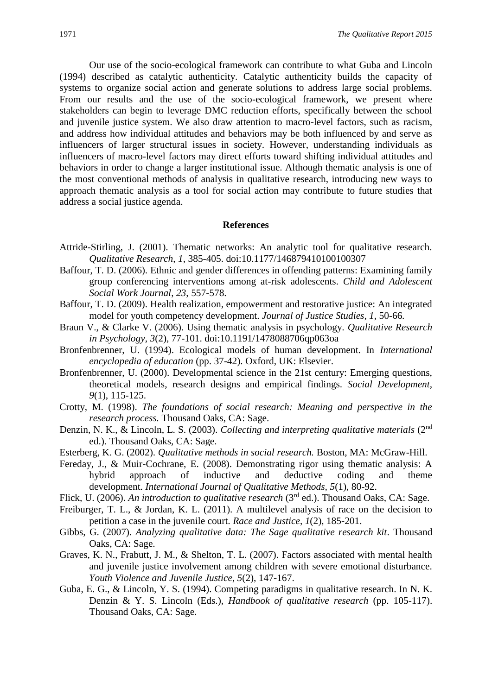Our use of the socio-ecological framework can contribute to what Guba and Lincoln (1994) described as catalytic authenticity. Catalytic authenticity builds the capacity of systems to organize social action and generate solutions to address large social problems. From our results and the use of the socio-ecological framework, we present where stakeholders can begin to leverage DMC reduction efforts, specifically between the school and juvenile justice system. We also draw attention to macro-level factors, such as racism, and address how individual attitudes and behaviors may be both influenced by and serve as influencers of larger structural issues in society. However, understanding individuals as influencers of macro-level factors may direct efforts toward shifting individual attitudes and behaviors in order to change a larger institutional issue. Although thematic analysis is one of the most conventional methods of analysis in qualitative research, introducing new ways to approach thematic analysis as a tool for social action may contribute to future studies that address a social justice agenda.

#### **References**

- Attride-Stirling, J. (2001). Thematic networks: An analytic tool for qualitative research. *Qualitative Research*, *1*, 385-405. doi:10.1177/146879410100100307
- Baffour, T. D. (2006). Ethnic and gender differences in offending patterns: Examining family group conferencing interventions among at-risk adolescents. *Child and Adolescent Social Work Journal*, *23*, 557-578.
- Baffour, T. D. (2009). Health realization, empowerment and restorative justice: An integrated model for youth competency development. *Journal of Justice Studies, 1,* 50-66*.*
- Braun V., & Clarke V. (2006). Using thematic analysis in psychology. *Qualitative Research in Psychology*, *3*(2), 77-101. doi:10.1191/1478088706qp063oa
- Bronfenbrenner, U. (1994). Ecological models of human development. In *International encyclopedia of education* (pp. 37-42). Oxford, UK: Elsevier.
- Bronfenbrenner, U. (2000). Developmental science in the 21st century: Emerging questions, theoretical models, research designs and empirical findings. *Social Development, 9*(1), 115-125.
- Crotty, M. (1998). *The foundations of social research: Meaning and perspective in the research process.* Thousand Oaks, CA: Sage.
- Denzin, N. K., & Lincoln, L. S. (2003). *Collecting and interpreting qualitative materials* (2nd ed.). Thousand Oaks, CA: Sage.
- Esterberg, K. G. (2002). *Qualitative methods in social research.* Boston, MA: McGraw-Hill.
- Fereday, J., & Muir-Cochrane, E. (2008). Demonstrating rigor using thematic analysis: A hybrid approach of inductive and deductive coding and theme development. *International Journal of Qualitative Methods, 5*(1), 80-92.
- Flick, U. (2006). *An introduction to qualitative research* (3rd ed.). Thousand Oaks, CA: Sage.
- Freiburger, T. L., & Jordan, K. L. (2011). A multilevel analysis of race on the decision to petition a case in the juvenile court. *Race and Justice*, *1*(2), 185-201.
- Gibbs, G. (2007). *Analyzing qualitative data: The Sage qualitative research kit*. Thousand Oaks, CA: Sage.
- Graves, K. N., Frabutt, J. M., & Shelton, T. L. (2007). Factors associated with mental health and juvenile justice involvement among children with severe emotional disturbance. *Youth Violence and Juvenile Justice*, *5*(2), 147-167.
- Guba, E. G., & Lincoln, Y. S. (1994). Competing paradigms in qualitative research. In N. K. Denzin & Y. S. Lincoln (Eds.), *Handbook of qualitative research* (pp. 105-117). Thousand Oaks, CA: Sage.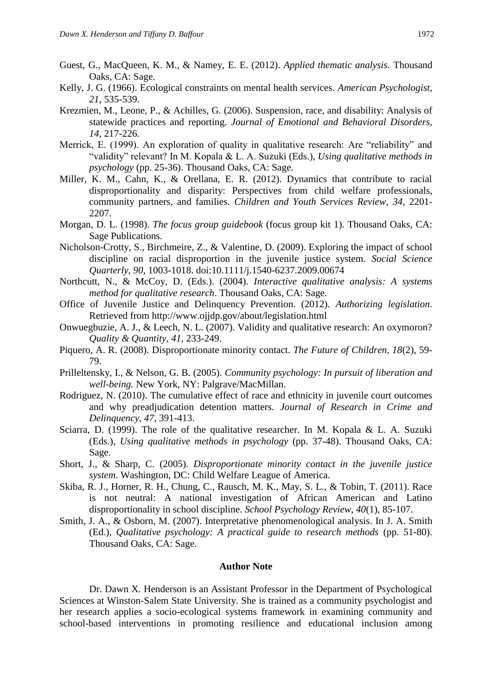- Guest, G., MacQueen, K. M., & Namey, E. E. (2012). *Applied thematic analysis.* Thousand Oaks, CA: Sage.
- Kelly, J. G. (1966). Ecological constraints on mental health services. *American Psychologist*, *21*, 535-539.
- Krezmien, M., Leone, P., & Achilles, G. (2006). Suspension, race, and disability: Analysis of statewide practices and reporting. *Journal of Emotional and Behavioral Disorders, 14,* 217-226.
- Merrick, E. (1999). An exploration of quality in qualitative research: Are "reliability" and "validity" relevant? In M. Kopala & L. A. Suzuki (Eds.), *Using qualitative methods in psychology* (pp. 25-36). Thousand Oaks, CA: Sage.
- Miller, K. M., Cahn, K., & Orellana, E. R. (2012). Dynamics that contribute to racial disproportionality and disparity: Perspectives from child welfare professionals, community partners, and families. *Children and Youth Services Review*, *34*, 2201- 2207.
- Morgan, D. L. (1998). *The focus group guidebook* (focus group kit 1). Thousand Oaks, CA: Sage Publications.
- Nicholson-Crotty, S., Birchmeire, Z., & Valentine, D. (2009). Exploring the impact of school discipline on racial disproportion in the juvenile justice system. *Social Science Quarterly*, *90*, 1003-1018. doi:10.1111/j.1540-6237.2009.00674
- Northcutt, N., & McCoy, D. (Eds.). (2004). *Interactive qualitative analysis: A systems method for qualitative research*. Thousand Oaks, CA: Sage.
- Office of Juvenile Justice and Delinquency Prevention. (2012). *Authorizing legislation.* Retrieved from <http://www.ojjdp.gov/about/legislation.html>
- Onwuegbuzie, A. J., & Leech, N. L. (2007). Validity and qualitative research: An oxymoron? *Quality & Quantity, 41*, 233-249.
- Piquero, A. R. (2008). Disproportionate minority contact. *The Future of Children, 18*(2), 59- 79.
- Prilleltensky, I., & Nelson, G. B. (2005). *Community psychology: In pursuit of liberation and well-being.* New York, NY: Palgrave/MacMillan.
- Rodriguez, N. (2010). The cumulative effect of race and ethnicity in juvenile court outcomes and why preadjudication detention matters*. Journal of Research in Crime and Delinquency*, *47*, 391-413.
- Sciarra, D. (1999). The role of the qualitative researcher. In M. Kopala & L. A. Suzuki (Eds.), *Using qualitative methods in psychology* (pp. 37-48). Thousand Oaks, CA: Sage.
- Short, J., & Sharp, C. (2005). *Disproportionate minority contact in the juvenile justice system*. Washington, DC: Child Welfare League of America.
- Skiba, R. J., Horner, R. H., Chung, C., Rausch, M. K., May, S. L., & Tobin, T. (2011). Race is not neutral: A national investigation of African American and Latino disproportionality in school discipline. *School Psychology Review, 40*(1), 85-107.
- Smith, J. A., & Osborn, M. (2007). Interpretative phenomenological analysis. In J. A. Smith (Ed.), *Qualitative psychology: A practical guide to research methods* (pp. 51-80). Thousand Oaks, CA: Sage.

#### **Author Note**

Dr. Dawn X. Henderson is an Assistant Professor in the Department of Psychological Sciences at Winston-Salem State University. She is trained as a community psychologist and her research applies a socio-ecological systems framework in examining community and school-based interventions in promoting resilience and educational inclusion among